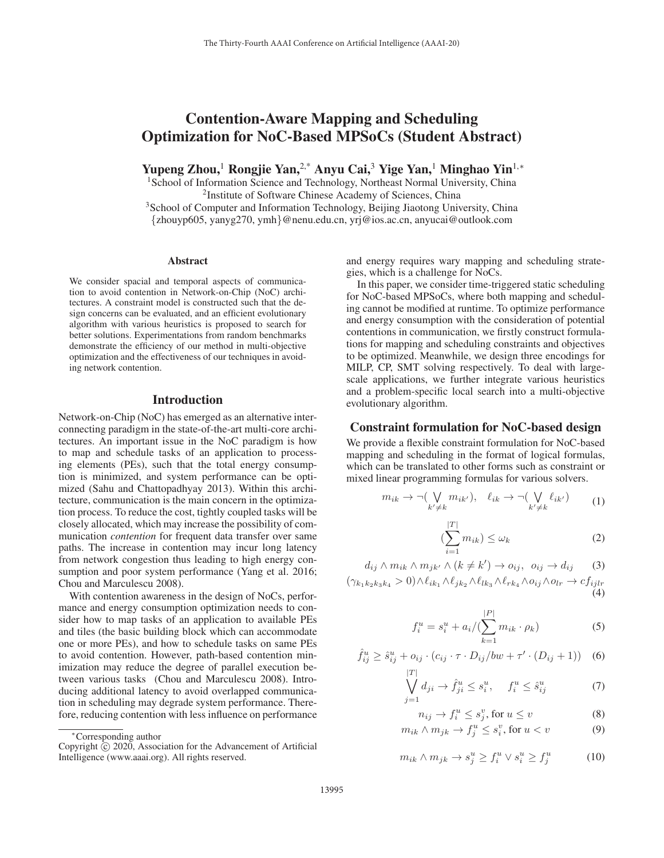# Contention-Aware Mapping and Scheduling Optimization for NoC-Based MPSoCs (Student Abstract)

Yupeng Zhou,<sup>1</sup> Rongjie Yan,<sup>2,\*</sup> Anyu Cai,<sup>3</sup> Yige Yan,<sup>1</sup> Minghao Yin<sup>1,\*</sup>

<sup>1</sup> School of Information Science and Technology, Northeast Normal University, China 2Institute of Software Chinese Academy of Sciences, China

<sup>3</sup>School of Computer and Information Technology, Beijing Jiaotong University, China {zhouyp605, yanyg270, ymh}@nenu.edu.cn, yrj@ios.ac.cn, anyucai@outlook.com

#### Abstract

We consider spacial and temporal aspects of communication to avoid contention in Network-on-Chip (NoC) architectures. A constraint model is constructed such that the design concerns can be evaluated, and an efficient evolutionary algorithm with various heuristics is proposed to search for better solutions. Experimentations from random benchmarks demonstrate the efficiency of our method in multi-objective optimization and the effectiveness of our techniques in avoiding network contention.

# Introduction

Network-on-Chip (NoC) has emerged as an alternative interconnecting paradigm in the state-of-the-art multi-core architectures. An important issue in the NoC paradigm is how to map and schedule tasks of an application to processing elements (PEs), such that the total energy consumption is minimized, and system performance can be optimized (Sahu and Chattopadhyay 2013). Within this architecture, communication is the main concern in the optimization process. To reduce the cost, tightly coupled tasks will be closely allocated, which may increase the possibility of communication *contention* for frequent data transfer over same paths. The increase in contention may incur long latency from network congestion thus leading to high energy consumption and poor system performance (Yang et al. 2016; Chou and Marculescu 2008).

With contention awareness in the design of NoCs, performance and energy consumption optimization needs to consider how to map tasks of an application to available PEs and tiles (the basic building block which can accommodate one or more PEs), and how to schedule tasks on same PEs to avoid contention. However, path-based contention minimization may reduce the degree of parallel execution between various tasks (Chou and Marculescu 2008). Introducing additional latency to avoid overlapped communication in scheduling may degrade system performance. Therefore, reducing contention with less influence on performance

and energy requires wary mapping and scheduling strategies, which is a challenge for NoCs.

In this paper, we consider time-triggered static scheduling for NoC-based MPSoCs, where both mapping and scheduling cannot be modified at runtime. To optimize performance and energy consumption with the consideration of potential contentions in communication, we firstly construct formulations for mapping and scheduling constraints and objectives to be optimized. Meanwhile, we design three encodings for MILP, CP, SMT solving respectively. To deal with largescale applications, we further integrate various heuristics and a problem-specific local search into a multi-objective evolutionary algorithm.

# Constraint formulation for NoC-based design

We provide a flexible constraint formulation for NoC-based mapping and scheduling in the format of logical formulas, which can be translated to other forms such as constraint or mixed linear programming formulas for various solvers.

$$
m_{ik} \to \neg(\bigvee_{k' \neq k} m_{ik'}), \quad \ell_{ik} \to \neg(\bigvee_{k' \neq k} \ell_{ik'})
$$
 (1)

$$
\sum_{i=1}^{|T|} m_{ik}) \le \omega_k \tag{2}
$$

 $d_{ij} \wedge m_{ik} \wedge m_{jk'} \wedge (k \neq k') \rightarrow o_{ij}, \ \ o_{ij} \rightarrow d_{ij} \tag{3}$  $(\gamma_{k_1k_2k_3k_4} > 0) \wedge \ell_{ik_1} \wedge \ell_{jk_2} \wedge \ell_{lk_3} \wedge \ell_{rk_4} \wedge o_{ij} \wedge o_{lr} \rightarrow cf_{ijlr}$ (4)

(

$$
f_i^u = s_i^u + a_i / (\sum_{k=1}^{|P|} m_{ik} \cdot \rho_k)
$$
 (5)

$$
\hat{f}_{ij}^u \ge \hat{s}_{ij}^u + o_{ij} \cdot (c_{ij} \cdot \tau \cdot D_{ij}/bw + \tau' \cdot (D_{ij} + 1)) \quad (6)
$$
  

$$
|T|
$$

$$
\bigvee_{j=1}^{n} d_{ji} \to \hat{f}^u_{ji} \le s^u_i, \quad f^u_i \le \hat{s}^u_{ij}
$$
\n<sup>(7)</sup>

$$
n_{ij} \to f_i^u \le s_j^v, \text{ for } u \le v \tag{8}
$$

$$
m_{ik} \wedge m_{jk} \to f_j^u \le s_i^v, \text{ for } u < v \tag{9}
$$

$$
m_{ik} \wedge m_{jk} \rightarrow s_j^u \ge f_i^u \vee s_i^u \ge f_j^u \tag{10}
$$

<sup>∗</sup>Corresponding author

Copyright  $\odot$  2020, Association for the Advancement of Artificial Intelligence (www.aaai.org). All rights reserved.